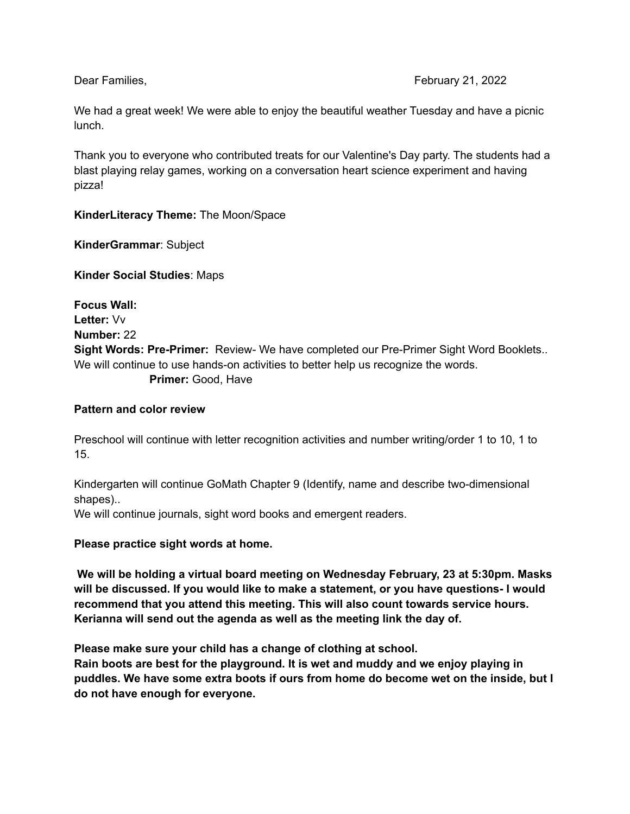We had a great week! We were able to enjoy the beautiful weather Tuesday and have a picnic lunch.

Thank you to everyone who contributed treats for our Valentine's Day party. The students had a blast playing relay games, working on a conversation heart science experiment and having pizza!

**KinderLiteracy Theme:** The Moon/Space

**KinderGrammar**: Subject

**Kinder Social Studies**: Maps

**Focus Wall: Letter:** Vv **Number:** 22 **Sight Words: Pre-Primer:** Review- We have completed our Pre-Primer Sight Word Booklets.. We will continue to use hands-on activities to better help us recognize the words. **Primer:** Good, Have

## **Pattern and color review**

Preschool will continue with letter recognition activities and number writing/order 1 to 10, 1 to 15.

Kindergarten will continue GoMath Chapter 9 (Identify, name and describe two-dimensional shapes)..

We will continue journals, sight word books and emergent readers.

**Please practice sight words at home.**

**We will be holding a virtual board meeting on Wednesday February, 23 at 5:30pm. Masks will be discussed. If you would like to make a statement, or you have questions- I would recommend that you attend this meeting. This will also count towards service hours. Kerianna will send out the agenda as well as the meeting link the day of.**

**Please make sure your child has a change of clothing at school.**

**Rain boots are best for the playground. It is wet and muddy and we enjoy playing in puddles. We have some extra boots if ours from home do become wet on the inside, but I do not have enough for everyone.**